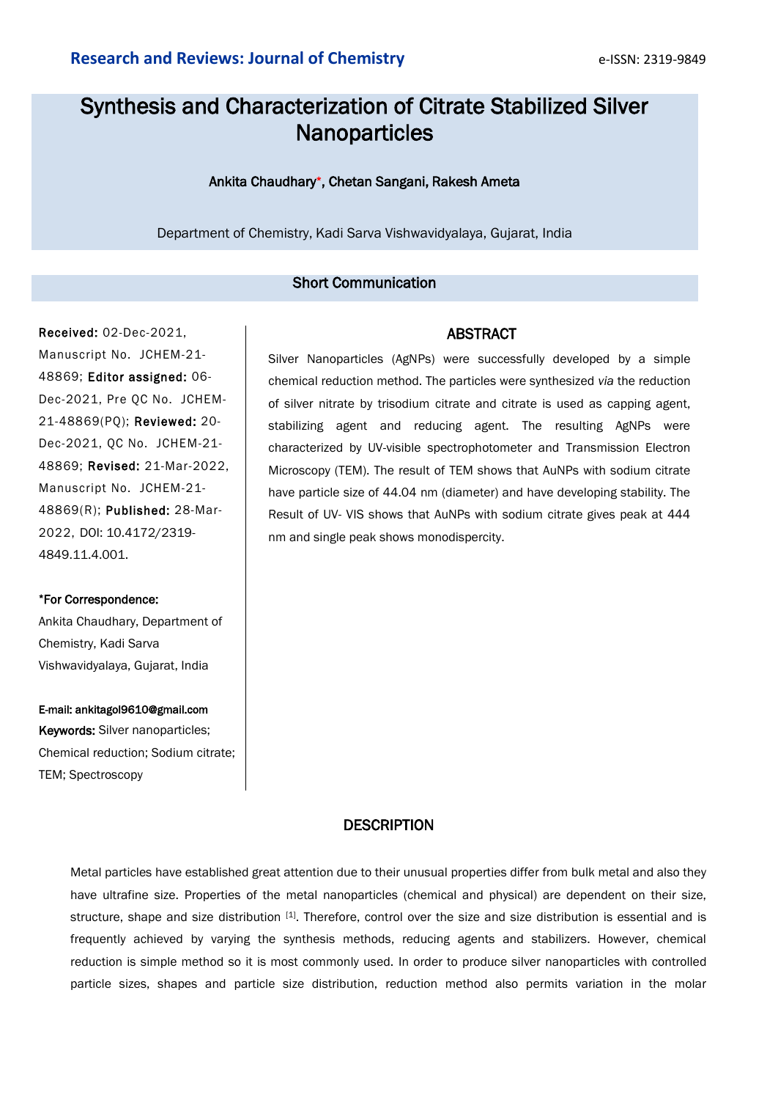# Synthesis and Characterization of Citrate Stabilized Silver **Nanoparticles**

Ankita Chaudhary\*, Chetan Sangani, Rakesh Ameta

Department of Chemistry, Kadi Sarva Vishwavidyalaya, Gujarat, India

## Short Communication

Received: 02-Dec-2021, Manuscript No. JCHEM-21- 48869; Editor assigned: 06- Dec-2021, Pre QC No. JCHEM-21-48869(PQ); Reviewed: 20- Dec-2021, QC No. JCHEM-21- 48869; Revised: 21-Mar-2022, Manuscript No. JCHEM-21- 48869(R); Published: 28-Mar-2022, DOI: 10.4172/2319- 4849.11.4.001.

#### \*For Correspondence:

Ankita Chaudhary, Department of Chemistry, Kadi Sarva Vishwavidyalaya, Gujarat, India

E-mail: ankitagol9610@gmail.com Keywords: Silver nanoparticles; Chemical reduction; Sodium citrate; TEM; Spectroscopy

#### ABSTRACT

Silver Nanoparticles (AgNPs) were successfully developed by a simple chemical reduction method. The particles were synthesized *via* the reduction of silver nitrate by trisodium citrate and citrate is used as capping agent, stabilizing agent and reducing agent. The resulting AgNPs were characterized by UV-visible spectrophotometer and Transmission Electron Microscopy (TEM). The result of TEM shows that AuNPs with sodium citrate have particle size of 44.04 nm (diameter) and have developing stability. The Result of UV- VIS shows that AuNPs with sodium citrate gives peak at 444 nm and single peak shows monodispercity.

### **DESCRIPTION**

Metal particles have established great attention due to their unusual properties differ from bulk metal and also they have ultrafine size. Properties of the metal nanoparticles (chemical and physical) are dependent on their size, structure, shape and size distribution [1]. Therefore, control over the size and size distribution is essential and is frequently achieved by varying the synthesis methods, reducing agents and stabilizers. However, chemical reduction is simple method so it is most commonly used. In order to produce silver nanoparticles with controlled particle sizes, shapes and particle size distribution, reduction method also permits variation in the molar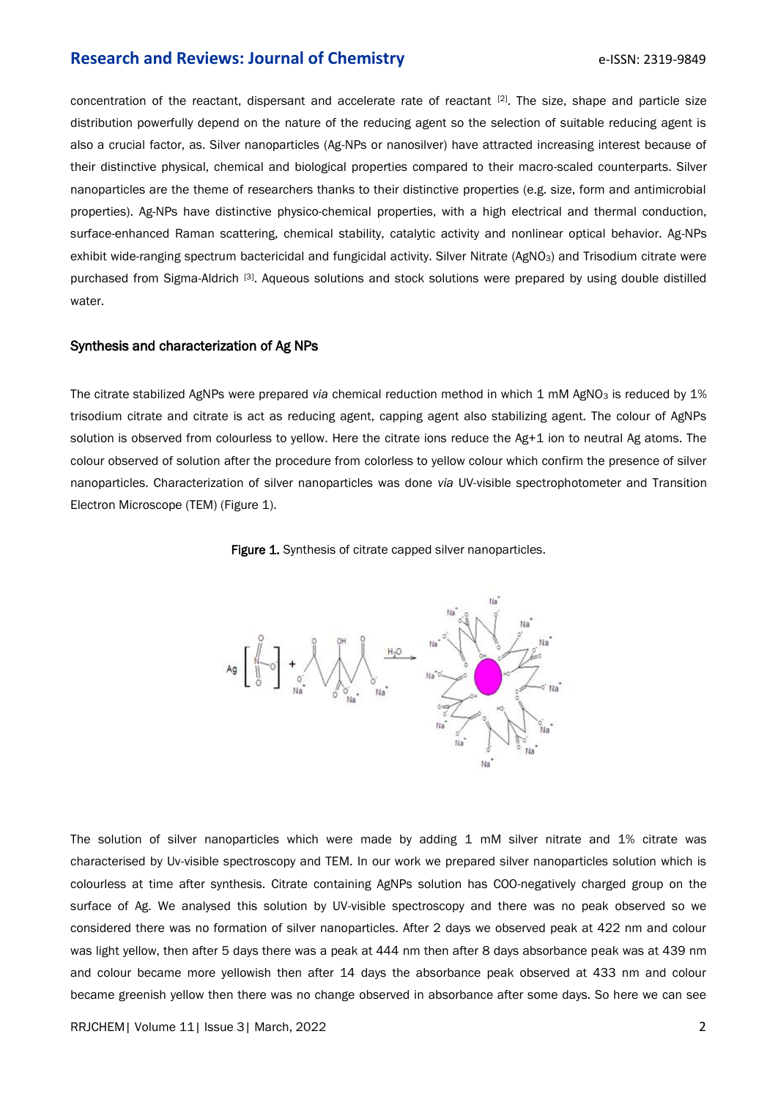## **Research and Reviews: Journal of Chemistry <b>Example 24 and 24 and 24 and 24 and 24 and 25 and 26 and 26 and 26 and 26 and 26 and 26 and 26 and 26 and 26 and 26 and 26 and 26 and 26 and 26 and 26 and 26 and 26 and 26 and 2**

concentration of the reactant, dispersant and accelerate rate of reactant [2]. The size, shape and particle size distribution powerfully depend on the nature of the reducing agent so the selection of suitable reducing agent is also a crucial factor, as. Silver nanoparticles (Ag-NPs or nanosilver) have attracted increasing interest because of their distinctive physical, chemical and biological properties compared to their macro-scaled counterparts. Silver nanoparticles are the theme of researchers thanks to their distinctive properties (e.g. size, form and antimicrobial properties). Ag-NPs have distinctive physico-chemical properties, with a high electrical and thermal conduction, surface-enhanced Raman scattering, chemical stability, catalytic activity and nonlinear optical behavior. Ag-NPs exhibit wide-ranging spectrum bactericidal and fungicidal activity. Silver Nitrate (AgNO<sub>3</sub>) and Trisodium citrate were purchased from Sigma-Aldrich [3]. Aqueous solutions and stock solutions were prepared by using double distilled water.

#### Synthesis and characterization of Ag NPs

The citrate stabilized AgNPs were prepared *via* chemical reduction method in which 1 mM AgNO<sub>3</sub> is reduced by 1% trisodium citrate and citrate is act as reducing agent, capping agent also stabilizing agent. The colour of AgNPs solution is observed from colourless to yellow. Here the citrate ions reduce the Ag+1 ion to neutral Ag atoms. The colour observed of solution after the procedure from colorless to yellow colour which confirm the presence of silver nanoparticles. Characterization of silver nanoparticles was done *via* UV-visible spectrophotometer and Transition Electron Microscope (TEM) (Figure 1).

Figure 1. Synthesis of citrate capped silver nanoparticles.



The solution of silver nanoparticles which were made by adding 1 mM silver nitrate and 1% citrate was characterised by Uv-visible spectroscopy and TEM. In our work we prepared silver nanoparticles solution which is colourless at time after synthesis. Citrate containing AgNPs solution has COO-negatively charged group on the surface of Ag. We analysed this solution by UV-visible spectroscopy and there was no peak observed so we considered there was no formation of silver nanoparticles. After 2 days we observed peak at 422 nm and colour was light yellow, then after 5 days there was a peak at 444 nm then after 8 days absorbance peak was at 439 nm and colour became more yellowish then after 14 days the absorbance peak observed at 433 nm and colour became greenish yellow then there was no change observed in absorbance after some days. So here we can see

RRJCHEM| Volume 11| Issue 3| March, 2022 2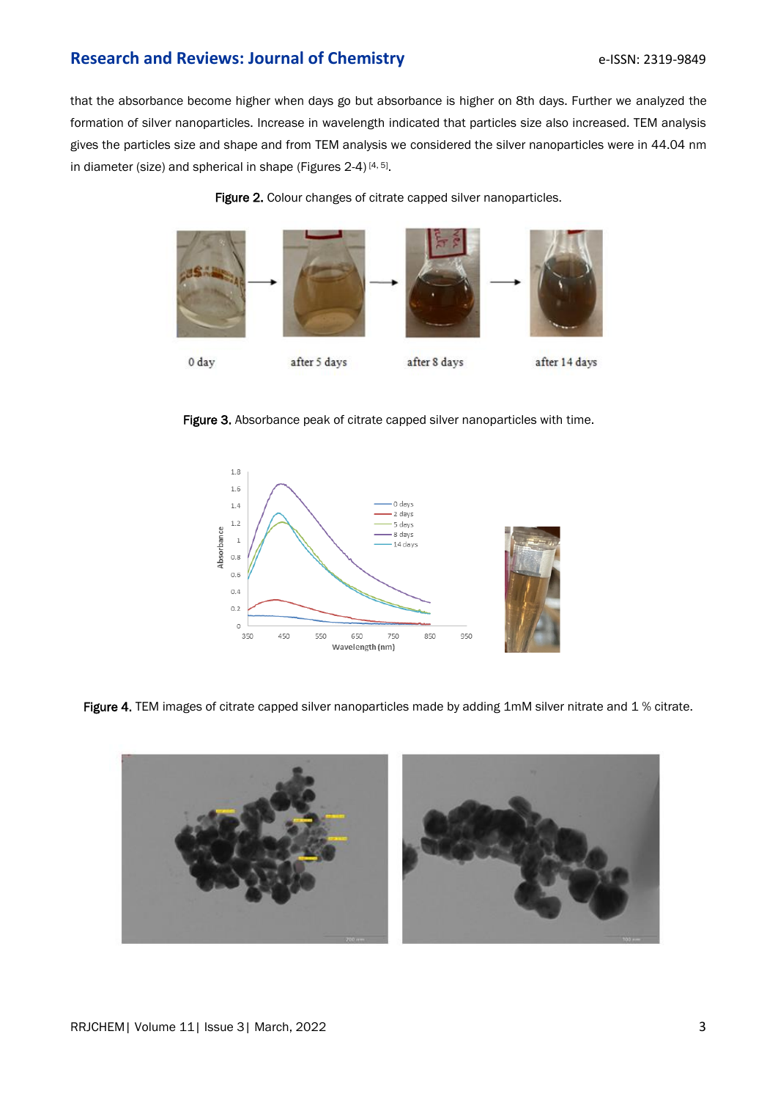# **Research and Reviews: Journal of Chemistry <b>Example 24 and 24 and 24 and 24 and 25 and 25 and 26 and 26 and 26 and 26 and 26 and 26 and 26 and 26 and 26 and 26 and 26 and 26 and 26 and 26 and 26 and 26 and 26 and 26 and 2**

that the absorbance become higher when days go but absorbance is higher on 8th days. Further we analyzed the formation of silver nanoparticles. Increase in wavelength indicated that particles size also increased. TEM analysis gives the particles size and shape and from TEM analysis we considered the silver nanoparticles were in 44.04 nm in diameter (size) and spherical in shape (Figures 2-4)<sup>[4, 5]</sup>.





Figure 3. Absorbance peak of citrate capped silver nanoparticles with time.



Figure 4. TEM images of citrate capped silver nanoparticles made by adding 1mM silver nitrate and 1 % citrate.